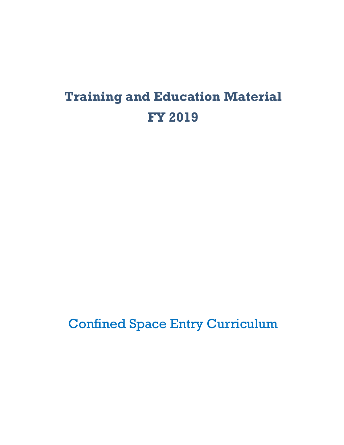# **Training and Education Material FY 2019**

Confined Space Entry Curriculum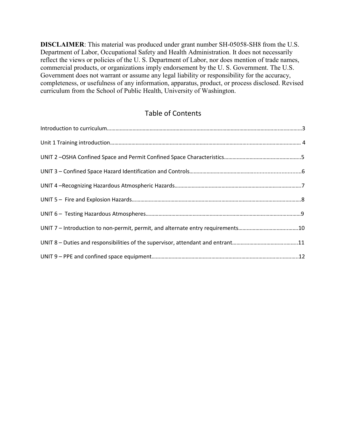**DISCLAIMER**: This material was produced under grant number SH-05058-SH8 from the U.S. Department of Labor, Occupational Safety and Health Administration. It does not necessarily reflect the views or policies of the U. S. Department of Labor, nor does mention of trade names, commercial products, or organizations imply endorsement by the U. S. Government. The U.S. Government does not warrant or assume any legal liability or responsibility for the accuracy, completeness, or usefulness of any information, apparatus, product, or process disclosed. Revised curriculum from the School of Public Health, University of Washington.

# Table of Contents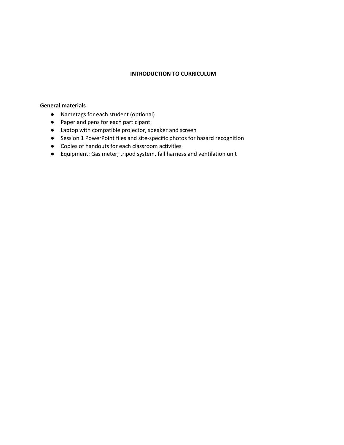#### **INTRODUCTION TO CURRICULUM**

#### **General materials**

- Nametags for each student (optional)
- Paper and pens for each participant
- Laptop with compatible projector, speaker and screen
- Session 1 PowerPoint files and site-specific photos for hazard recognition
- Copies of handouts for each classroom activities
- Equipment: Gas meter, tripod system, fall harness and ventilation unit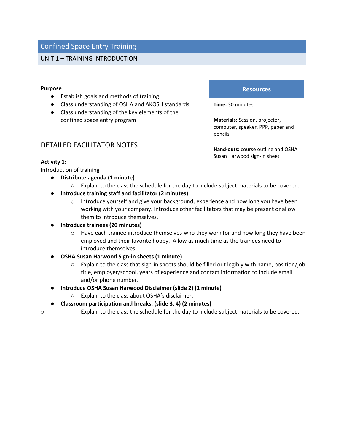## UNIT 1 – TRAINING INTRODUCTION

#### **Purpose**

- Establish goals and methods of training
- Class understanding of OSHA and AKOSH standards
- Class understanding of the key elements of the confined space entry program

#### **Resources**

**Time:** 30 minutes

**Materials:** Session, projector, computer, speaker, PPP, paper and pencils

**Hand-outs:** course outline and OSHA Susan Harwood sign-in sheet

## DETAILED FACILITATOR NOTES

#### **Activity 1:**

Introduction of training

- **Distribute agenda (1 minute)**
	- Explain to the class the schedule for the day to include subject materials to be covered.
- **Introduce training staff and facilitator (2 minutes)**
	- $\circ$  Introduce yourself and give your background, experience and how long you have been working with your company. Introduce other facilitators that may be present or allow them to introduce themselves.
- **Introduce trainees (20 minutes)**
	- $\circ$  Have each trainee introduce themselves-who they work for and how long they have been employed and their favorite hobby. Allow as much time as the trainees need to introduce themselves.
- **OSHA Susan Harwood Sign-in sheets (1 minute)** 
	- Explain to the class that sign-in sheets should be filled out legibly with name, position/job title, employer/school, years of experience and contact information to include email and/or phone number.
- **Introduce OSHA Susan Harwood Disclaimer (slide 2) (1 minute)**
	- Explain to the class about OSHA's disclaimer.
- **Classroom participation and breaks. (slide 3, 4) (2 minutes)**
- o Explain to the class the schedule for the day to include subject materials to be covered.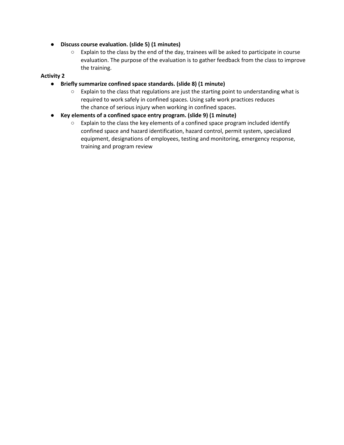- **Discuss course evaluation. (slide 5) (1 minutes)**
	- Explain to the class by the end of the day, trainees will be asked to participate in course evaluation. The purpose of the evaluation is to gather feedback from the class to improve the training.

## **Activity 2**

- **Briefly summarize confined space standards. (slide 8) (1 minute)**
	- $\circ$  Explain to the class that regulations are just the starting point to understanding what is required to work safely in confined spaces. Using safe work practices reduces the chance of serious injury when working in confined spaces.
- **Key elements of a confined space entry program. (slide 9) (1 minute)**
	- $\circ$  Explain to the class the key elements of a confined space program included identify confined space and hazard identification, hazard control, permit system, specialized equipment, designations of employees, testing and monitoring, emergency response, training and program review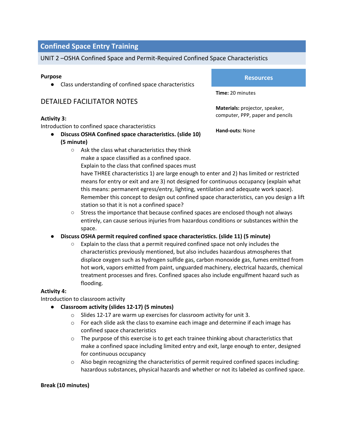## UNIT 2 –OSHA Confined Space and Permit-Required Confined Space Characteristics

#### **Purpose**

● Class understanding of confined space characteristics

# DETAILED FACILITATOR NOTES

#### **Activity 3:**

Introduction to confined space characteristics

- **Discuss OSHA Confined space characteristics. (slide 10) (5 minute)**
	- Ask the class what characteristics they think make a space classified as a confined space. Explain to the class that confined spaces must

#### **Resources**

**Time:** 20 minutes

**Materials:** projector, speaker, computer, PPP, paper and pencils

**Hand-outs:** None

have THREE characteristics 1) are large enough to enter and 2) has limited or restricted means for entry or exit and are 3) not designed for continuous occupancy (explain what this means: permanent egress/entry, lighting, ventilation and adequate work space). Remember this concept to design out confined space characteristics, can you design a lift station so that it is not a confined space?

- Stress the importance that because confined spaces are enclosed though not always entirely, can cause serious injuries from hazardous conditions or substances within the space.
- **Discuss OSHA permit required confined space characteristics. (slide 11) (5 minute)**
	- Explain to the class that a permit required confined space not only includes the characteristics previously mentioned, but also includes hazardous atmospheres that displace oxygen such as hydrogen sulfide gas, carbon monoxide gas, fumes emitted from hot work, vapors emitted from paint, unguarded machinery, electrical hazards, chemical treatment processes and fires. Confined spaces also include engulfment hazard such as flooding.

## **Activity 4:**

Introduction to classroom activity

- **Classroom activity (slides 12-17) (5 minutes)**
	- o Slides 12-17 are warm up exercises for classroom activity for unit 3.
	- $\circ$  For each slide ask the class to examine each image and determine if each image has confined space characteristics
	- $\circ$  The purpose of this exercise is to get each trainee thinking about characteristics that make a confined space including limited entry and exit, large enough to enter, designed for continuous occupancy
	- $\circ$  Also begin recognizing the characteristics of permit required confined spaces including: hazardous substances, physical hazards and whether or not its labeled as confined space.

#### **Break (10 minutes)**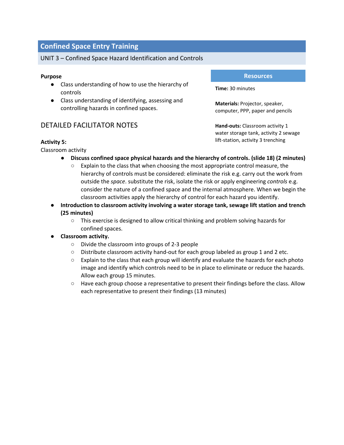## UNIT 3 – Confined Space Hazard Identification and Controls

#### **Purpose**

- Class understanding of how to use the hierarchy of controls
- Class understanding of identifying, assessing and controlling hazards in confined spaces.

## DETAILED FACILITATOR NOTES

#### **Activity 5:**

Classroom activity

- **Discuss confined space physical hazards and the hierarchy of controls. (slide 18) (2 minutes)**
	- Explain to the class that when choosing the most appropriate control measure, the hierarchy of controls must be considered: eliminate the risk e.g. carry out the work from outside the *space*. substitute the risk, isolate the risk or apply engineering *controls* e.g. consider the nature of a confined space and the internal atmosphere. When we begin the classroom activities apply the hierarchy of control for each hazard you identify.
- **Introduction to classroom activity involving a water storage tank, sewage lift station and trench (25 minutes)**
	- This exercise is designed to allow critical thinking and problem solving hazards for confined spaces.

#### ● **Classroom activity.**

- Divide the classroom into groups of 2-3 people
- Distribute classroom activity hand-out for each group labeled as group 1 and 2 etc.
- Explain to the class that each group will identify and evaluate the hazards for each photo image and identify which controls need to be in place to eliminate or reduce the hazards. Allow each group 15 minutes.
- Have each group choose a representative to present their findings before the class. Allow each representative to present their findings (13 minutes)

#### **Resources**

**Time:** 30 minutes

**Materials:** Projector, speaker, computer, PPP, paper and pencils

**Hand-outs:** Classroom activity 1 water storage tank, activity 2 sewage lift-station, activity 3 trenching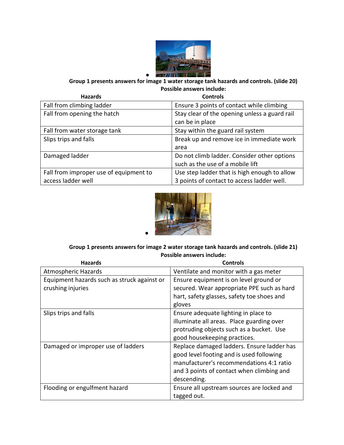

●

**Group 1 presents answers for image 1 water storage tank hazards and controls. (slide 20) Possible answers include:**

| <b>Hazards</b>                         | <b>Controls</b>                               |
|----------------------------------------|-----------------------------------------------|
| Fall from climbing ladder              | Ensure 3 points of contact while climbing     |
| Fall from opening the hatch            | Stay clear of the opening unless a guard rail |
|                                        | can be in place                               |
| Fall from water storage tank           | Stay within the guard rail system             |
| Slips trips and falls                  | Break up and remove ice in immediate work     |
|                                        | area                                          |
| Damaged ladder                         | Do not climb ladder. Consider other options   |
|                                        | such as the use of a mobile lift              |
| Fall from improper use of equipment to | Use step ladder that is high enough to allow  |
| access ladder well                     | 3 points of contact to access ladder well.    |



## **Group 1 presents answers for image 2 water storage tank hazards and controls. (slide 21) Possible answers include:**

| <b>Hazards</b>                              | <b>Controls</b>                            |
|---------------------------------------------|--------------------------------------------|
| <b>Atmospheric Hazards</b>                  | Ventilate and monitor with a gas meter     |
| Equipment hazards such as struck against or | Ensure equipment is on level ground or     |
| crushing injuries                           | secured. Wear appropriate PPE such as hard |
|                                             | hart, safety glasses, safety toe shoes and |
|                                             | gloves                                     |
| Slips trips and falls                       | Ensure adequate lighting in place to       |
|                                             | illuminate all areas. Place guarding over  |
|                                             | protruding objects such as a bucket. Use   |
|                                             | good housekeeping practices.               |
| Damaged or improper use of ladders          | Replace damaged ladders. Ensure ladder has |
|                                             | good level footing and is used following   |
|                                             | manufacturer's recommendations 4:1 ratio   |
|                                             | and 3 points of contact when climbing and  |
|                                             | descending.                                |
| Flooding or engulfment hazard               | Ensure all upstream sources are locked and |
|                                             | tagged out.                                |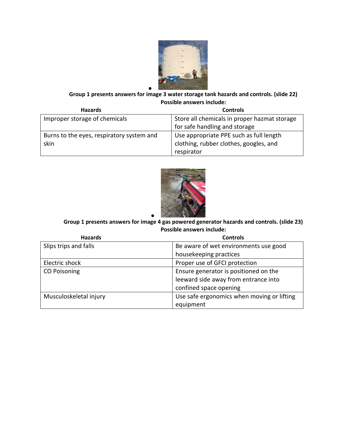

#### ● **Group 1 presents answers for image 3 water storage tank hazards and controls. (slide 22) Possible answers include:**

| <b>Hazards</b>                            | <b>Controls</b>                              |
|-------------------------------------------|----------------------------------------------|
| Improper storage of chemicals             | Store all chemicals in proper hazmat storage |
|                                           | for safe handling and storage                |
| Burns to the eyes, respiratory system and | Use appropriate PPE such as full length      |
| skin                                      | clothing, rubber clothes, googles, and       |
|                                           | respirator                                   |



#### ● **Group 1 presents answers for image 4 gas powered generator hazards and controls. (slide 23) Possible answers include:**

| <b>Hazards</b>         | <b>Controls</b>                            |
|------------------------|--------------------------------------------|
| Slips trips and falls  | Be aware of wet environments use good      |
|                        | housekeeping practices                     |
| Electric shock         | Proper use of GFCI protection              |
| <b>CO Poisoning</b>    | Ensure generator is positioned on the      |
|                        | leeward side away from entrance into       |
|                        | confined space opening                     |
| Musculoskeletal injury | Use safe ergonomics when moving or lifting |
|                        | equipment                                  |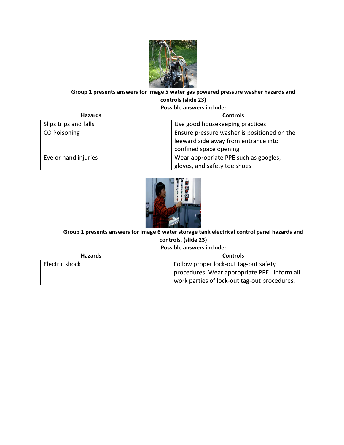

# **Group 1 presents answers for image 5 water gas powered pressure washer hazards and controls (slide 23)**

**Possible answers include:**

| <b>Hazards</b>        | <b>Controls</b>                             |
|-----------------------|---------------------------------------------|
| Slips trips and falls | Use good housekeeping practices             |
| <b>CO Poisoning</b>   | Ensure pressure washer is positioned on the |
|                       | leeward side away from entrance into        |
|                       | confined space opening                      |
| Eye or hand injuries  | Wear appropriate PPE such as googles,       |
|                       | gloves, and safety toe shoes                |



# **Group 1 presents answers for image 6 water storage tank electrical control panel hazards and controls. (slide 23)**

**Possible answers include:**

| <b>Hazards</b> | <b>Controls</b>                              |
|----------------|----------------------------------------------|
| Electric shock | Follow proper lock-out tag-out safety        |
|                | procedures. Wear appropriate PPE. Inform all |
|                | work parties of lock-out tag-out procedures. |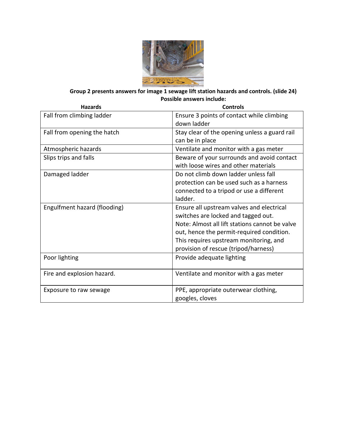

**Group 2 presents answers for image 1 sewage lift station hazards and controls. (slide 24) Possible answers include:**

| <b>Hazards</b>               | <b>Controls</b>                                                                                                                                                                                                                                                   |
|------------------------------|-------------------------------------------------------------------------------------------------------------------------------------------------------------------------------------------------------------------------------------------------------------------|
| Fall from climbing ladder    | Ensure 3 points of contact while climbing<br>down ladder                                                                                                                                                                                                          |
| Fall from opening the hatch  | Stay clear of the opening unless a guard rail<br>can be in place                                                                                                                                                                                                  |
| Atmospheric hazards          | Ventilate and monitor with a gas meter                                                                                                                                                                                                                            |
| Slips trips and falls        | Beware of your surrounds and avoid contact<br>with loose wires and other materials                                                                                                                                                                                |
| Damaged ladder               | Do not climb down ladder unless fall<br>protection can be used such as a harness<br>connected to a tripod or use a different<br>ladder.                                                                                                                           |
| Engulfment hazard (flooding) | Ensure all upstream valves and electrical<br>switches are locked and tagged out.<br>Note: Almost all lift stations cannot be valve<br>out, hence the permit-required condition.<br>This requires upstream monitoring, and<br>provision of rescue (tripod/harness) |
| Poor lighting                | Provide adequate lighting                                                                                                                                                                                                                                         |
| Fire and explosion hazard.   | Ventilate and monitor with a gas meter                                                                                                                                                                                                                            |
| Exposure to raw sewage       | PPE, appropriate outerwear clothing,<br>googles, cloves                                                                                                                                                                                                           |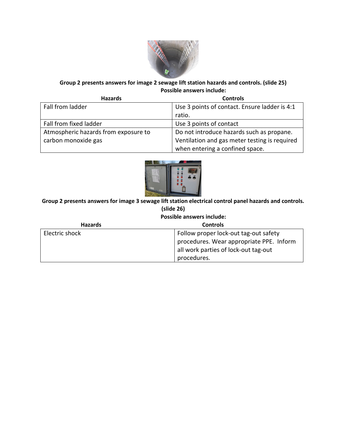

## **Group 2 presents answers for image 2 sewage lift station hazards and controls. (slide 25) Possible answers include:**

| <b>Hazards</b>                       | <b>Controls</b>                               |
|--------------------------------------|-----------------------------------------------|
| Fall from ladder                     | Use 3 points of contact. Ensure ladder is 4:1 |
|                                      | ratio.                                        |
| Fall from fixed ladder               | Use 3 points of contact                       |
| Atmospheric hazards from exposure to | Do not introduce hazards such as propane.     |
| carbon monoxide gas                  | Ventilation and gas meter testing is required |
|                                      | when entering a confined space.               |



**Group 2 presents answers for image 3 sewage lift station electrical control panel hazards and controls. (slide 26)**

**Possible answers include:**

| <b>Hazards</b> | <b>Controls</b>                          |
|----------------|------------------------------------------|
| Electric shock | Follow proper lock-out tag-out safety    |
|                | procedures. Wear appropriate PPE. Inform |
|                | all work parties of lock-out tag-out     |
|                | procedures.                              |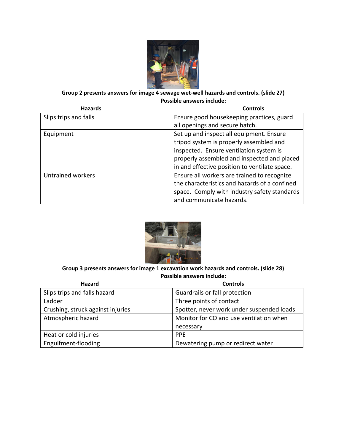

## **Group 2 presents answers for image 4 sewage wet-well hazards and controls. (slide 27) Possible answers include:**

| <b>Hazards</b>           | <b>Controls</b>                               |
|--------------------------|-----------------------------------------------|
| Slips trips and falls    | Ensure good housekeeping practices, guard     |
|                          | all openings and secure hatch.                |
| Equipment                | Set up and inspect all equipment. Ensure      |
|                          | tripod system is properly assembled and       |
|                          | inspected. Ensure ventilation system is       |
|                          | properly assembled and inspected and placed   |
|                          | in and effective position to ventilate space. |
| <b>Untrained workers</b> | Ensure all workers are trained to recognize   |
|                          | the characteristics and hazards of a confined |
|                          | space. Comply with industry safety standards  |
|                          | and communicate hazards.                      |



## **Group 3 presents answers for image 1 excavation work hazards and controls. (slide 28) Possible answers include:**

| <b>Hazard</b>                     | <b>Controls</b>                           |
|-----------------------------------|-------------------------------------------|
| Slips trips and falls hazard      | Guardrails or fall protection             |
| Ladder                            | Three points of contact                   |
| Crushing, struck against injuries | Spotter, never work under suspended loads |
| Atmospheric hazard                | Monitor for CO and use ventilation when   |
|                                   | necessary                                 |
| Heat or cold injuries             | <b>PPE</b>                                |
| Engulfment-flooding               | Dewatering pump or redirect water         |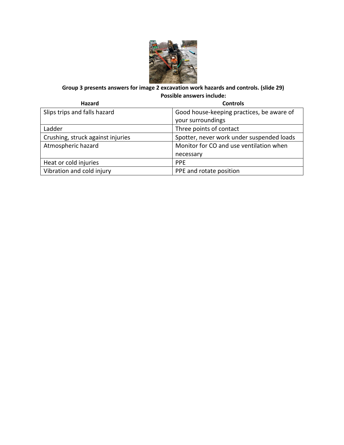

## **Group 3 presents answers for image 2 excavation work hazards and controls. (slide 29) Possible answers include:**

| Hazard                            | <b>Controls</b>                           |
|-----------------------------------|-------------------------------------------|
| Slips trips and falls hazard      | Good house-keeping practices, be aware of |
|                                   | your surroundings                         |
| Ladder                            | Three points of contact                   |
| Crushing, struck against injuries | Spotter, never work under suspended loads |
| Atmospheric hazard                | Monitor for CO and use ventilation when   |
|                                   | necessary                                 |
| Heat or cold injuries             | <b>PPE</b>                                |
| Vibration and cold injury         | PPE and rotate position                   |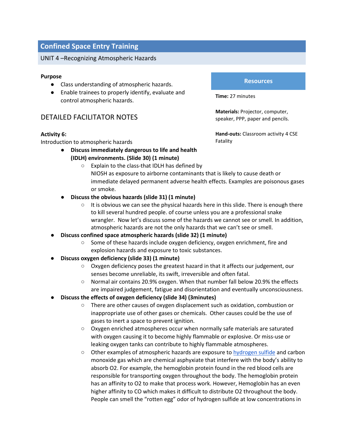#### UNIT 4 –Recognizing Atmospheric Hazards

#### **Purpose**

- Class understanding of atmospheric hazards.
- Enable trainees to properly identify, evaluate and control atmospheric hazards.

## DETAILED FACILITATOR NOTES

#### **Activity 6:**

Introduction to atmospheric hazards

- **Discuss immediately dangerous to life and health (IDLH) environments. (Slide 30) (1 minute)**
	- Explain to the class-that IDLH has defined by NIOSH as exposure to airborne contaminants that is likely to cause death or immediate delayed permanent adverse health effects. Examples are poisonous gases or smoke.
- **Discuss the obvious hazards (slide 31) (1 minute)**
	- $\circ$  It is obvious we can see the physical hazards here in this slide. There is enough there to kill several hundred people. of course unless you are a professional snake wrangler. Now let's discuss some of the hazards we cannot see or smell. In addition, atmospheric hazards are not the only hazards that we can't see or smell.
- **Discuss confined space atmospheric hazards (slide 32) (1 minute)**
	- Some of these hazards include oxygen deficiency, oxygen enrichment, fire and explosion hazards and exposure to toxic substances.
- **Discuss oxygen deficiency (slide 33) (1 minute)**
	- Oxygen deficiency poses the greatest hazard in that it affects our judgement, our senses become unreliable, its swift, irreversible and often fatal.
	- Normal air contains 20.9% oxygen. When that number fall below 20.9% the effects are impaired judgement, fatigue and disorientation and eventually unconsciousness.
- **Discuss the effects of oxygen deficiency (slide 34) (3minutes)**
	- There are other causes of oxygen displacement such as oxidation, combustion or inappropriate use of other gases or chemicals. Other causes could be the use of gases to inert a space to prevent ignition.
	- Oxygen enriched atmospheres occur when normally safe materials are saturated with oxygen causing it to become highly flammable or explosive. Or miss-use or leaking oxygen tanks can contribute to highly flammable atmospheres.
	- Other examples of atmospheric hazards are exposure to [hydrogen sulfide](https://www.osha.gov/OshDoc/data_Hurricane_Facts/hydrogen_sulfide_fact.pdf) and carbon monoxide gas which are chemical asphyxiate that interfere with the body's ability to absorb O2. For example, the hemoglobin protein found in the red blood cells are responsible for transporting oxygen throughout the body. The hemoglobin protein has an affinity to O2 to make that process work. However, Hemoglobin has an even higher affinity to CO which makes it difficult to distribute O2 throughout the body. People can smell the "rotten egg" odor of hydrogen sulfide at low concentrations in

#### **Resources**

**Time:** 27 minutes

**Materials:** Projector, computer, speaker, PPP, paper and pencils.

**Hand-outs:** Classroom activity 4 CSE Fatality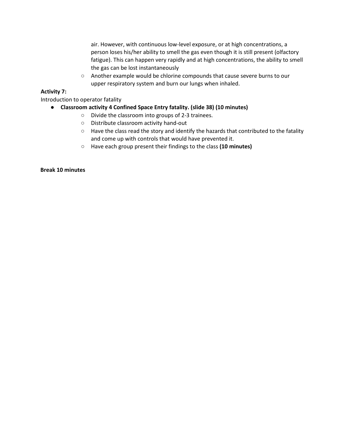air. However, with continuous low-level exposure, or at high concentrations, a person loses his/her ability to smell the gas even though it is still present (olfactory fatigue). This can happen very rapidly and at high concentrations, the ability to smell the gas can be lost instantaneously

○ Another example would be chlorine compounds that cause severe burns to our upper respiratory system and burn our lungs when inhaled.

#### **Activity 7:**

Introduction to operator fatality

- **Classroom activity 4 Confined Space Entry fatality. (slide 38) (10 minutes)**
	- Divide the classroom into groups of 2-3 trainees.
	- Distribute classroom activity hand-out
	- Have the class read the story and identify the hazards that contributed to the fatality and come up with controls that would have prevented it.
	- Have each group present their findings to the class **(10 minutes)**

#### **Break 10 minutes**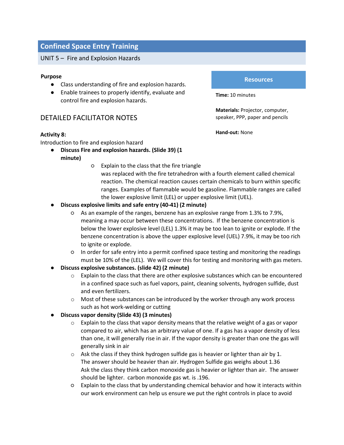#### UNIT 5 – Fire and Explosion Hazards

#### **Purpose**

- Class understanding of fire and explosion hazards.
- Enable trainees to properly identify, evaluate and control fire and explosion hazards.

## DETAILED FACILITATOR NOTES

#### **Activity 8:**

Introduction to fire and explosion hazard

- **Discuss Fire and explosion hazards. (Slide 39) (1 minute)**
	- Explain to the class that the fire triangle
		- was replaced with the fire tetrahedron with a fourth element called chemical reaction. The chemical reaction causes certain chemicals to burn within specific ranges. Examples of flammable would be gasoline. Flammable ranges are called the lower explosive limit (LEL) or upper explosive limit (UEL).
- **Discuss explosive limits and safe entry (40-41) (2 minute)**
	- As an example of the ranges, benzene has an explosive range from 1.3% to 7.9%, meaning a may occur between these concentrations. If the benzene concentration is below the lower explosive level (LEL) 1.3% it may be too lean to ignite or explode. If the benzene concentration is above the upper explosive level (UEL) 7.9%, it may be too rich to ignite or explode.
	- In order for safe entry into a permit confined space testing and monitoring the readings must be 10% of the (LEL). We will cover this for testing and monitoring with gas meters.
- **Discuss explosive substances. (slide 42) (2 minute)**
	- $\circ$  Explain to the class that there are other explosive substances which can be encountered in a confined space such as fuel vapors, paint, cleaning solvents, hydrogen sulfide, dust and even fertilizers.
	- $\circ$  Most of these substances can be introduced by the worker through any work process such as hot work-welding or cutting
- **Discuss vapor density (Slide 43) (3 minutes)**
	- $\circ$  Explain to the class that vapor density means that the relative weight of a gas or vapor compared to air, which has an arbitrary value of one. If a gas has a vapor density of less than one, it will generally rise in air. If the vapor density is greater than one the gas will generally sink in air
	- $\circ$  Ask the class if they think hydrogen sulfide gas is heavier or lighter than air by 1. The answer should be heavier than air. Hydrogen Sulfide gas weighs about 1.36 Ask the class they think carbon monoxide gas is heavier or lighter than air. The answer should be lighter. carbon monoxide gas wt. is .196.
	- Explain to the class that by understanding chemical behavior and how it interacts within our work environment can help us ensure we put the right controls in place to avoid

#### **Resources**

**Time:** 10 minutes

**Materials:** Projector, computer, speaker, PPP, paper and pencils

**Hand-out:** None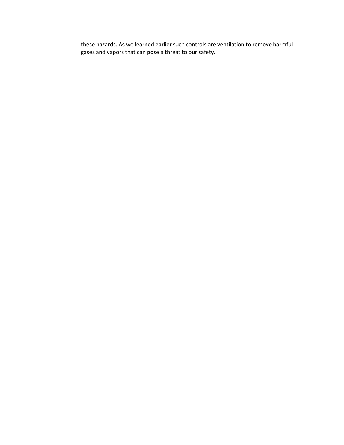these hazards. As we learned earlier such controls are ventilation to remove harmful gases and vapors that can pose a threat to our safety.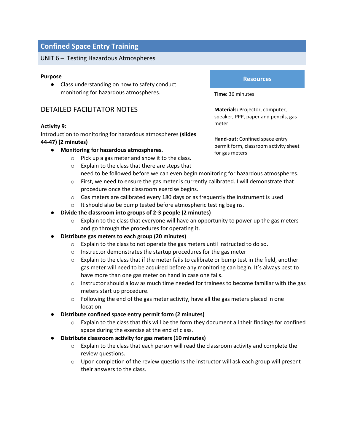#### UNIT 6 – Testing Hazardous Atmospheres

#### **Purpose**

● Class understanding on how to safety conduct monitoring for hazardous atmospheres.

## DETAILED FACILITATOR NOTES

#### **Activity 9:**

Introduction to monitoring for hazardous atmospheres **(slides 44-47) (2 minutes)**

- **Monitoring for hazardous atmospheres.**
	- o Pick up a gas meter and show it to the class.
	- o Explain to the class that there are steps that need to be followed before we can even begin monitoring for hazardous atmospheres.
	- $\circ$  First, we need to ensure the gas meter is currently calibrated. I will demonstrate that procedure once the classroom exercise begins.
	- $\circ$  Gas meters are calibrated every 180 days or as frequently the instrument is used
	- o It should also be bump tested before atmospheric testing begins.
- **Divide the classroom into groups of 2-3 people (2 minutes)**
	- $\circ$  Explain to the class that everyone will have an opportunity to power up the gas meters and go through the procedures for operating it.
- **Distribute gas meters to each group (20 minutes)**
	- o Explain to the class to not operate the gas meters until instructed to do so.
	- o Instructor demonstrates the startup procedures for the gas meter
	- $\circ$  Explain to the class that if the meter fails to calibrate or bump test in the field, another gas meter will need to be acquired before any monitoring can begin. It's always best to have more than one gas meter on hand in case one fails.
	- $\circ$  Instructor should allow as much time needed for trainees to become familiar with the gas meters start up procedure.
	- $\circ$  Following the end of the gas meter activity, have all the gas meters placed in one location.
- **Distribute confined space entry permit form (2 minutes)** 
	- $\circ$  Explain to the class that this will be the form they document all their findings for confined space during the exercise at the end of class.
- **Distribute classroom activity for gas meters (10 minutes)**
	- $\circ$  Explain to the class that each person will read the classroom activity and complete the review questions.
	- $\circ$  Upon completion of the review questions the instructor will ask each group will present their answers to the class.

#### **Resources**

**Time:** 36 minutes

**Materials:** Projector, computer, speaker, PPP, paper and pencils, gas meter

**Hand-out:** Confined space entry permit form, classroom activity sheet for gas meters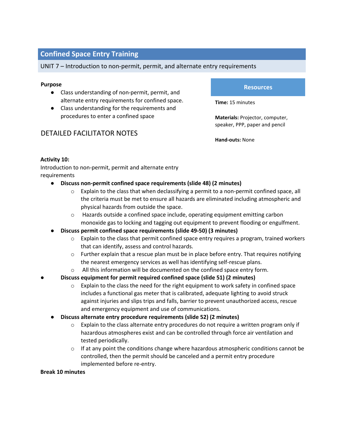#### UNIT 7 – Introduction to non-permit, permit, and alternate entry requirements

#### **Purpose**

- Class understanding of non-permit, permit, and alternate entry requirements for confined space.
- Class understanding for the requirements and procedures to enter a confined space

## DETAILED FACILITATOR NOTES

#### **Resources**

**Time:** 15 minutes

**Materials:** Projector, computer, speaker, PPP, paper and pencil

**Hand-outs:** None

#### **Activity 10:**

Introduction to non-permit, permit and alternate entry requirements

- **Discuss non-permit confined space requirements (slide 48) (2 minutes)**
	- o Explain to the class that when declassifying a permit to a non-permit confined space, all the criteria must be met to ensure all hazards are eliminated including atmospheric and physical hazards from outside the space.
	- o Hazards outside a confined space include, operating equipment emitting carbon monoxide gas to locking and tagging out equipment to prevent flooding or engulfment.
- **Discuss permit confined space requirements (slide 49-50) (3 minutes)**
	- $\circ$  Explain to the class that permit confined space entry requires a program, trained workers that can identify, assess and control hazards.
	- o Further explain that a rescue plan must be in place before entry. That requires notifying the nearest emergency services as well has identifying self-rescue plans.
	- $\circ$  All this information will be documented on the confined space entry form.

## ● **Discuss equipment for permit required confined space (slide 51) (2 minutes)**

- $\circ$  Explain to the class the need for the right equipment to work safety in confined space includes a functional gas meter that is calibrated, adequate lighting to avoid struck against injuries and slips trips and falls, barrier to prevent unauthorized access, rescue and emergency equipment and use of communications.
- **Discuss alternate entry procedure requirements (slide 52) (2 minutes)**
	- $\circ$  Explain to the class alternate entry procedures do not require a written program only if hazardous atmospheres exist and can be controlled through force air ventilation and tested periodically.
	- $\circ$  If at any point the conditions change where hazardous atmospheric conditions cannot be controlled, then the permit should be canceled and a permit entry procedure implemented before re-entry.

#### **Break 10 minutes**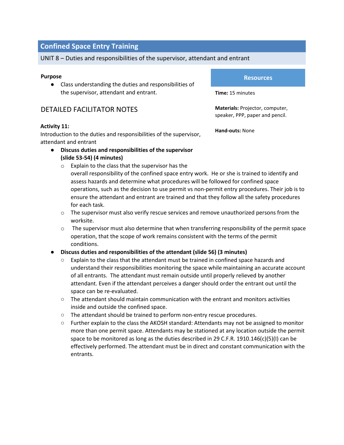## UNIT 8 – Duties and responsibilities of the supervisor, attendant and entrant

#### **Purpose**

● Class understanding the duties and responsibilities of the supervisor, attendant and entrant.

## DETAILED FACILITATOR NOTES

#### **Activity 11:**

Introduction to the duties and responsibilities of the supervisor, attendant and entrant

- **Discuss duties and responsibilities of the supervisor (slide 53-54) (4 minutes)**
	- o Explain to the class that the supervisor has the overall responsibility of the confined space entry work. He or she is trained to identify and
		- assess hazards and determine what procedures will be followed for confined space operations, such as the decision to use permit vs non-permit entry procedures. Their job is to ensure the attendant and entrant are trained and that they follow all the safety procedures for each task.
	- $\circ$  The supervisor must also verify rescue services and remove unauthorized persons from the worksite.
	- $\circ$  The supervisor must also determine that when transferring responsibility of the permit space operation, that the scope of work remains consistent with the terms of the permit conditions.

## ● **Discuss duties and responsibilities of the attendant (slide 56) (3 minutes)**

- Explain to the class that the attendant must be trained in confined space hazards and understand their responsibilities monitoring the space while maintaining an accurate account of all entrants. The attendant must remain outside until properly relieved by another attendant. Even if the attendant perceives a danger should order the entrant out until the space can be re-evaluated.
- $\circ$  The attendant should maintain communication with the entrant and monitors activities inside and outside the confined space.
- The attendant should be trained to perform non-entry rescue procedures.
- Further explain to the class the AKOSH standard: Attendants may not be assigned to monitor more than one permit space. Attendants may be stationed at any location outside the permit space to be monitored as long as the duties described in 29 C.F.R. 1910.146(c)(5)(I) can be effectively performed. The attendant must be in direct and constant communication with the entrants.

## **Resources**

**Time:** 15 minutes

**Materials:** Projector, computer, speaker, PPP, paper and pencil.

**Hand-outs:** None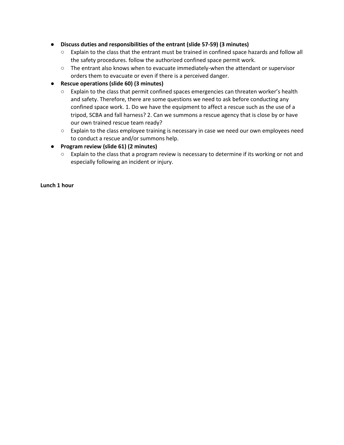#### ● **Discuss duties and responsibilities of the entrant (slide 57-59) (3 minutes)**

- Explain to the class that the entrant must be trained in confined space hazards and follow all the safety procedures. follow the authorized confined space permit work.
- The entrant also knows when to evacuate immediately-when the attendant or supervisor orders them to evacuate or even if there is a perceived danger.

## ● **Rescue operations (slide 60) (3 minutes)**

- Explain to the class that permit confined spaces emergencies can threaten worker's health and safety. Therefore, there are some questions we need to ask before conducting any confined space work. 1. Do we have the equipment to affect a rescue such as the use of a tripod, SCBA and fall harness? 2. Can we summons a rescue agency that is close by or have our own trained rescue team ready?
- Explain to the class employee training is necessary in case we need our own employees need to conduct a rescue and/or summons help.

#### ● **Program review (slide 61) (2 minutes)**

○ Explain to the class that a program review is necessary to determine if its working or not and especially following an incident or injury.

**Lunch 1 hour**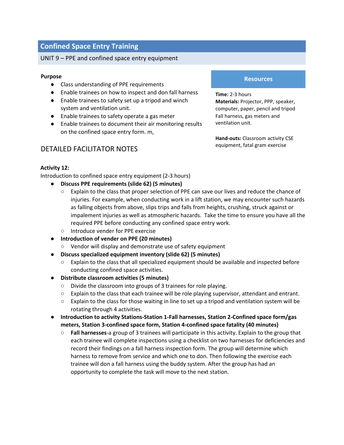#### UNIT 9 – PPE and confined space entry equipment

#### **Purpose**

- Class understanding of PPE requirements
- Enable trainees on how to inspect and don fall harness
- Enable trainees to safety set up a tripod and winch system and ventilation unit.
- Enable trainees to safety operate a gas meter
- Enable trainees to document their air monitoring results on the confined space entry form. m,

## DETAILED FACILITATOR NOTES

#### **Resources**

**Time:** 2-3 hours **Materials:** Projector, PPP, speaker, computer, paper, pencil and tripod Fall harness, gas meters and ventilation unit.

**Hand-outs:** Classroom activity CSE equipment, fatal gram exercise

#### **Activity 12:**

Introduction to confined space entry equipment (2-3 hours)

- **Discuss PPE requirements (slide 62) (5 minutes)**
	- Explain to the class that proper selection of PPE can save our lives and reduce the chance of injuries. For example, when conducting work in a lift station, we may encounter such hazards as falling objects from above, slips trips and falls from heights, crushing, struck against or impalement injuries as well as atmospheric hazards. Take the time to ensure you have all the required PPE before conducting any confined space entry work.
	- Introduce vender for PPE exercise
- **Introduction of vender on PPE (20 minutes)**
	- Vendor will display and demonstrate use of safety equipment
- **Discuss specialized equipment inventory (slide 62) (5 minutes)**
	- Explain to the class that all specialized equipment should be available and inspected before conducting confined space activities.
- **Distribute classroom activities (5 minutes)**
	- Divide the classroom into groups of 3 trainees for role playing.
	- Explain to the class that each trainee will be role playing supervisor, attendant and entrant.
	- Explain to the class for those waiting in line to set up a tripod and ventilation system will be rotating through 4 activities.
- **Introduction to activity Stations-Station 1-Fall harnesses, Station 2-Confined space form/gas meters, Station 3-confined space form, Station 4-confined space fatality (40 minutes)**
	- **Fall harnesses**-a group of 3 trainees will participate in this activity. Explain to the group that each trainee will complete inspections using a checklist on two harnesses for deficiencies and record their findings on a fall harness inspection form. The group will determine which harness to remove from service and which one to don. Then following the exercise each trainee will don a fall harness using the buddy system. After the group has had an opportunity to complete the task will move to the next station.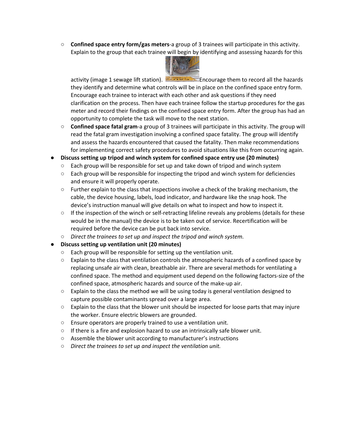○ **Confined space entry form/gas meters**-a group of 3 trainees will participate in this activity. Explain to the group that each trainee will begin by identifying and assessing hazards for this



activity (image 1 sewage lift station). Encourage them to record all the hazards they identify and determine what controls will be in place on the confined space entry form. Encourage each trainee to interact with each other and ask questions if they need clarification on the process. Then have each trainee follow the startup procedures for the gas meter and record their findings on the confined space entry form. After the group has had an opportunity to complete the task will move to the next station.

- **Confined space fatal gram**-a group of 3 trainees will participate in this activity. The group will read the fatal gram investigation involving a confined space fatality. The group will identify and assess the hazards encountered that caused the fatality. Then make recommendations for implementing correct safety procedures to avoid situations like this from occurring again.
- **Discuss setting up tripod and winch system for confined space entry use (20 minutes)**
	- $\circ$  Each group will be responsible for set up and take down of tripod and winch system
	- $\circ$  Each group will be responsible for inspecting the tripod and winch system for deficiencies and ensure it will properly operate.
	- Further explain to the class that inspections involve a check of the braking mechanism, the cable, the device housing, labels, load indicator, and hardware like the snap hook. The device's instruction manual will give details on what to inspect and how to inspect it.
	- If the inspection of the winch or self-retracting lifeline reveals any problems (details for these would be in the manual) the device is to be taken out of service. Recertification will be required before the device can be put back into service.
	- *Direct the trainees to set up and inspect the tripod and winch system.*
- **Discuss setting up ventilation unit (20 minutes)**
	- Each group will be responsible for setting up the ventilation unit.
	- Explain to the class that ventilation controls the atmospheric hazards of a confined space by replacing unsafe air with clean, breathable air. There are several methods for ventilating a confined space. The method and equipment used depend on the following factors-size of the confined space, atmospheric hazards and source of the make-up air.
	- Explain to the class the method we will be using today is general ventilation designed to capture possible contaminants spread over a large area.
	- $\circ$  Explain to the class that the blower unit should be inspected for loose parts that may injure the worker. Ensure electric blowers are grounded.
	- Ensure operators are properly trained to use a ventilation unit.
	- If there is a fire and explosion hazard to use an intrinsically safe blower unit.
	- Assemble the blower unit according to manufacturer's instructions
	- *Direct the trainees to set up and inspect the ventilation unit.*